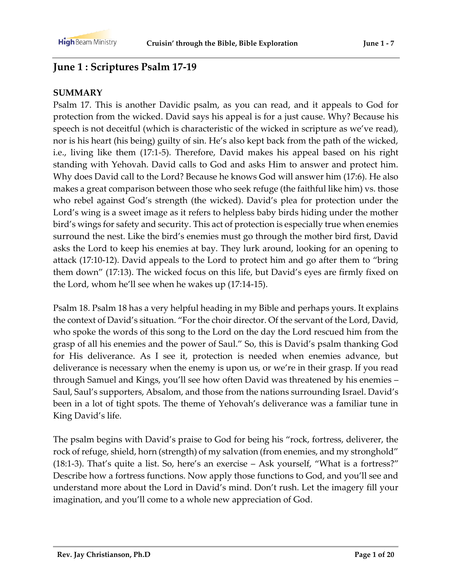# **June 1 : Scriptures Psalm 17-19**

#### **SUMMARY**

Psalm 17. This is another Davidic psalm, as you can read, and it appeals to God for protection from the wicked. David says his appeal is for a just cause. Why? Because his speech is not deceitful (which is characteristic of the wicked in scripture as we've read), nor is his heart (his being) guilty of sin. He's also kept back from the path of the wicked, i.e., living like them (17:1-5). Therefore, David makes his appeal based on his right standing with Yehovah. David calls to God and asks Him to answer and protect him. Why does David call to the Lord? Because he knows God will answer him (17:6). He also makes a great comparison between those who seek refuge (the faithful like him) vs. those who rebel against God's strength (the wicked). David's plea for protection under the Lord's wing is a sweet image as it refers to helpless baby birds hiding under the mother bird's wings for safety and security. This act of protection is especially true when enemies surround the nest. Like the bird's enemies must go through the mother bird first, David asks the Lord to keep his enemies at bay. They lurk around, looking for an opening to attack (17:10-12). David appeals to the Lord to protect him and go after them to "bring them down" (17:13). The wicked focus on this life, but David's eyes are firmly fixed on the Lord, whom he'll see when he wakes up (17:14-15).

Psalm 18. Psalm 18 has a very helpful heading in my Bible and perhaps yours. It explains the context of David's situation. "For the choir director. Of the servant of the Lord, David, who spoke the words of this song to the Lord on the day the Lord rescued him from the grasp of all his enemies and the power of Saul." So, this is David's psalm thanking God for His deliverance. As I see it, protection is needed when enemies advance, but deliverance is necessary when the enemy is upon us, or we're in their grasp. If you read through Samuel and Kings, you'll see how often David was threatened by his enemies – Saul, Saul's supporters, Absalom, and those from the nations surrounding Israel. David's been in a lot of tight spots. The theme of Yehovah's deliverance was a familiar tune in King David's life.

The psalm begins with David's praise to God for being his "rock, fortress, deliverer, the rock of refuge, shield, horn (strength) of my salvation (from enemies, and my stronghold" (18:1-3). That's quite a list. So, here's an exercise – Ask yourself, "What is a fortress?" Describe how a fortress functions. Now apply those functions to God, and you'll see and understand more about the Lord in David's mind. Don't rush. Let the imagery fill your imagination, and you'll come to a whole new appreciation of God.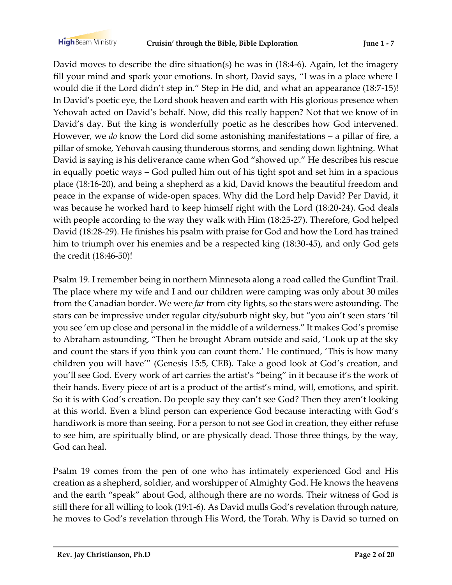David moves to describe the dire situation(s) he was in (18:4-6). Again, let the imagery fill your mind and spark your emotions. In short, David says, "I was in a place where I would die if the Lord didn't step in." Step in He did, and what an appearance (18:7-15)! In David's poetic eye, the Lord shook heaven and earth with His glorious presence when Yehovah acted on David's behalf. Now, did this really happen? Not that we know of in David's day. But the king is wonderfully poetic as he describes how God intervened. However, we *do* know the Lord did some astonishing manifestations – a pillar of fire, a pillar of smoke, Yehovah causing thunderous storms, and sending down lightning. What David is saying is his deliverance came when God "showed up." He describes his rescue in equally poetic ways – God pulled him out of his tight spot and set him in a spacious place (18:16-20), and being a shepherd as a kid, David knows the beautiful freedom and peace in the expanse of wide-open spaces. Why did the Lord help David? Per David, it was because he worked hard to keep himself right with the Lord (18:20-24). God deals with people according to the way they walk with Him (18:25-27). Therefore, God helped David (18:28-29). He finishes his psalm with praise for God and how the Lord has trained him to triumph over his enemies and be a respected king (18:30-45), and only God gets the credit (18:46-50)!

Psalm 19. I remember being in northern Minnesota along a road called the Gunflint Trail. The place where my wife and I and our children were camping was only about 30 miles from the Canadian border. We were *far* from city lights, so the stars were astounding. The stars can be impressive under regular city/suburb night sky, but "you ain't seen stars 'til you see 'em up close and personal in the middle of a wilderness." It makes God's promise to Abraham astounding, "Then he brought Abram outside and said, 'Look up at the sky and count the stars if you think you can count them.' He continued, 'This is how many children you will have'" (Genesis 15:5, CEB). Take a good look at God's creation, and you'll see God. Every work of art carries the artist's "being" in it because it's the work of their hands. Every piece of art is a product of the artist's mind, will, emotions, and spirit. So it is with God's creation. Do people say they can't see God? Then they aren't looking at this world. Even a blind person can experience God because interacting with God's handiwork is more than seeing. For a person to not see God in creation, they either refuse to see him, are spiritually blind, or are physically dead. Those three things, by the way, God can heal.

Psalm 19 comes from the pen of one who has intimately experienced God and His creation as a shepherd, soldier, and worshipper of Almighty God. He knows the heavens and the earth "speak" about God, although there are no words. Their witness of God is still there for all willing to look (19:1-6). As David mulls God's revelation through nature, he moves to God's revelation through His Word, the Torah. Why is David so turned on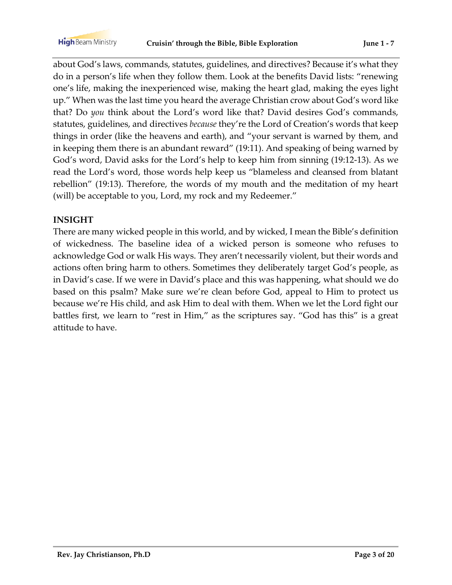about God's laws, commands, statutes, guidelines, and directives? Because it's what they do in a person's life when they follow them. Look at the benefits David lists: "renewing one's life, making the inexperienced wise, making the heart glad, making the eyes light up." When was the last time you heard the average Christian crow about God's word like that? Do *you* think about the Lord's word like that? David desires God's commands, statutes, guidelines, and directives *because* they're the Lord of Creation's words that keep things in order (like the heavens and earth), and "your servant is warned by them, and in keeping them there is an abundant reward" (19:11). And speaking of being warned by God's word, David asks for the Lord's help to keep him from sinning (19:12-13). As we read the Lord's word, those words help keep us "blameless and cleansed from blatant rebellion" (19:13). Therefore, the words of my mouth and the meditation of my heart (will) be acceptable to you, Lord, my rock and my Redeemer."

### **INSIGHT**

There are many wicked people in this world, and by wicked, I mean the Bible's definition of wickedness. The baseline idea of a wicked person is someone who refuses to acknowledge God or walk His ways. They aren't necessarily violent, but their words and actions often bring harm to others. Sometimes they deliberately target God's people, as in David's case. If we were in David's place and this was happening, what should we do based on this psalm? Make sure we're clean before God, appeal to Him to protect us because we're His child, and ask Him to deal with them. When we let the Lord fight our battles first, we learn to "rest in Him," as the scriptures say. "God has this" is a great attitude to have.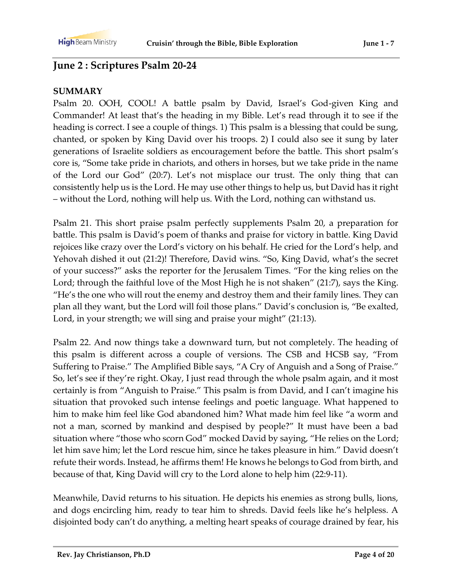# **June 2 : Scriptures Psalm 20-24**

#### **SUMMARY**

Psalm 20. OOH, COOL! A battle psalm by David, Israel's God-given King and Commander! At least that's the heading in my Bible. Let's read through it to see if the heading is correct. I see a couple of things. 1) This psalm is a blessing that could be sung, chanted, or spoken by King David over his troops. 2) I could also see it sung by later generations of Israelite soldiers as encouragement before the battle. This short psalm's core is, "Some take pride in chariots, and others in horses, but we take pride in the name of the Lord our God" (20:7). Let's not misplace our trust. The only thing that can consistently help us is the Lord. He may use other things to help us, but David has it right – without the Lord, nothing will help us. With the Lord, nothing can withstand us.

Psalm 21. This short praise psalm perfectly supplements Psalm 20, a preparation for battle. This psalm is David's poem of thanks and praise for victory in battle. King David rejoices like crazy over the Lord's victory on his behalf. He cried for the Lord's help, and Yehovah dished it out (21:2)! Therefore, David wins. "So, King David, what's the secret of your success?" asks the reporter for the Jerusalem Times. "For the king relies on the Lord; through the faithful love of the Most High he is not shaken" (21:7), says the King. "He's the one who will rout the enemy and destroy them and their family lines. They can plan all they want, but the Lord will foil those plans." David's conclusion is, "Be exalted, Lord, in your strength; we will sing and praise your might" (21:13).

Psalm 22. And now things take a downward turn, but not completely. The heading of this psalm is different across a couple of versions. The CSB and HCSB say, "From Suffering to Praise." The Amplified Bible says, "A Cry of Anguish and a Song of Praise." So, let's see if they're right. Okay, I just read through the whole psalm again, and it most certainly is from "Anguish to Praise." This psalm is from David, and I can't imagine his situation that provoked such intense feelings and poetic language. What happened to him to make him feel like God abandoned him? What made him feel like "a worm and not a man, scorned by mankind and despised by people?" It must have been a bad situation where "those who scorn God" mocked David by saying, "He relies on the Lord; let him save him; let the Lord rescue him, since he takes pleasure in him." David doesn't refute their words. Instead, he affirms them! He knows he belongs to God from birth, and because of that, King David will cry to the Lord alone to help him (22:9-11).

Meanwhile, David returns to his situation. He depicts his enemies as strong bulls, lions, and dogs encircling him, ready to tear him to shreds. David feels like he's helpless. A disjointed body can't do anything, a melting heart speaks of courage drained by fear, his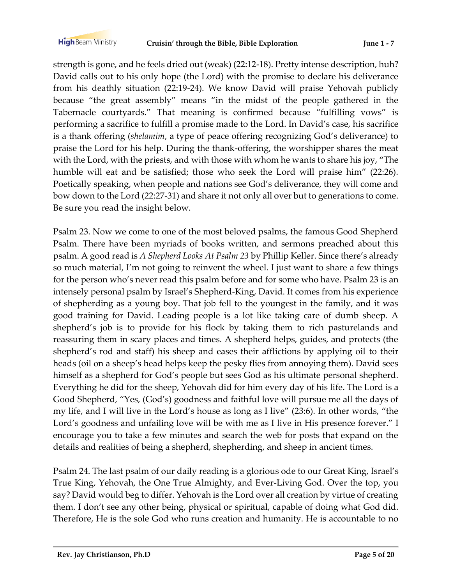strength is gone, and he feels dried out (weak) (22:12-18). Pretty intense description, huh? David calls out to his only hope (the Lord) with the promise to declare his deliverance from his deathly situation (22:19-24). We know David will praise Yehovah publicly because "the great assembly" means "in the midst of the people gathered in the Tabernacle courtyards." That meaning is confirmed because "fulfilling vows" is performing a sacrifice to fulfill a promise made to the Lord. In David's case, his sacrifice is a thank offering (*shelamim*, a type of peace offering recognizing God's deliverance) to praise the Lord for his help. During the thank-offering, the worshipper shares the meat with the Lord, with the priests, and with those with whom he wants to share his joy, "The humble will eat and be satisfied; those who seek the Lord will praise him" (22:26). Poetically speaking, when people and nations see God's deliverance, they will come and bow down to the Lord (22:27-31) and share it not only all over but to generations to come. Be sure you read the insight below.

Psalm 23. Now we come to one of the most beloved psalms, the famous Good Shepherd Psalm. There have been myriads of books written, and sermons preached about this psalm. A good read is *A Shepherd Looks At Psalm 23* by Phillip Keller. Since there's already so much material, I'm not going to reinvent the wheel. I just want to share a few things for the person who's never read this psalm before and for some who have. Psalm 23 is an intensely personal psalm by Israel's Shepherd-King, David. It comes from his experience of shepherding as a young boy. That job fell to the youngest in the family, and it was good training for David. Leading people is a lot like taking care of dumb sheep. A shepherd's job is to provide for his flock by taking them to rich pasturelands and reassuring them in scary places and times. A shepherd helps, guides, and protects (the shepherd's rod and staff) his sheep and eases their afflictions by applying oil to their heads (oil on a sheep's head helps keep the pesky flies from annoying them). David sees himself as a shepherd for God's people but sees God as his ultimate personal shepherd. Everything he did for the sheep, Yehovah did for him every day of his life. The Lord is a Good Shepherd, "Yes, (God's) goodness and faithful love will pursue me all the days of my life, and I will live in the Lord's house as long as I live" (23:6). In other words, "the Lord's goodness and unfailing love will be with me as I live in His presence forever." I encourage you to take a few minutes and search the web for posts that expand on the details and realities of being a shepherd, shepherding, and sheep in ancient times.

Psalm 24. The last psalm of our daily reading is a glorious ode to our Great King, Israel's True King, Yehovah, the One True Almighty, and Ever-Living God. Over the top, you say? David would beg to differ. Yehovah is the Lord over all creation by virtue of creating them. I don't see any other being, physical or spiritual, capable of doing what God did. Therefore, He is the sole God who runs creation and humanity. He is accountable to no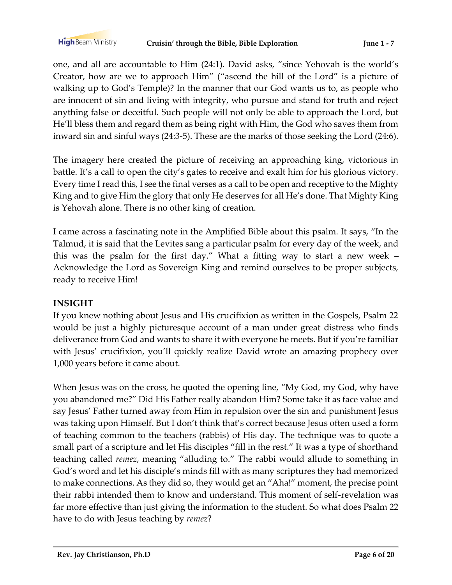one, and all are accountable to Him (24:1). David asks, "since Yehovah is the world's Creator, how are we to approach Him" ("ascend the hill of the Lord" is a picture of walking up to God's Temple)? In the manner that our God wants us to, as people who are innocent of sin and living with integrity, who pursue and stand for truth and reject anything false or deceitful. Such people will not only be able to approach the Lord, but He'll bless them and regard them as being right with Him, the God who saves them from inward sin and sinful ways (24:3-5). These are the marks of those seeking the Lord (24:6).

The imagery here created the picture of receiving an approaching king, victorious in battle. It's a call to open the city's gates to receive and exalt him for his glorious victory. Every time I read this, I see the final verses as a call to be open and receptive to the Mighty King and to give Him the glory that only He deserves for all He's done. That Mighty King is Yehovah alone. There is no other king of creation.

I came across a fascinating note in the Amplified Bible about this psalm. It says, "In the Talmud, it is said that the Levites sang a particular psalm for every day of the week, and this was the psalm for the first day." What a fitting way to start a new week – Acknowledge the Lord as Sovereign King and remind ourselves to be proper subjects, ready to receive Him!

#### **INSIGHT**

If you knew nothing about Jesus and His crucifixion as written in the Gospels, Psalm 22 would be just a highly picturesque account of a man under great distress who finds deliverance from God and wants to share it with everyone he meets. But if you're familiar with Jesus' crucifixion, you'll quickly realize David wrote an amazing prophecy over 1,000 years before it came about.

When Jesus was on the cross, he quoted the opening line, "My God, my God, why have you abandoned me?" Did His Father really abandon Him? Some take it as face value and say Jesus' Father turned away from Him in repulsion over the sin and punishment Jesus was taking upon Himself. But I don't think that's correct because Jesus often used a form of teaching common to the teachers (rabbis) of His day. The technique was to quote a small part of a scripture and let His disciples "fill in the rest." It was a type of shorthand teaching called *remez*, meaning "alluding to." The rabbi would allude to something in God's word and let his disciple's minds fill with as many scriptures they had memorized to make connections. As they did so, they would get an "Aha!" moment, the precise point their rabbi intended them to know and understand. This moment of self-revelation was far more effective than just giving the information to the student. So what does Psalm 22 have to do with Jesus teaching by *remez*?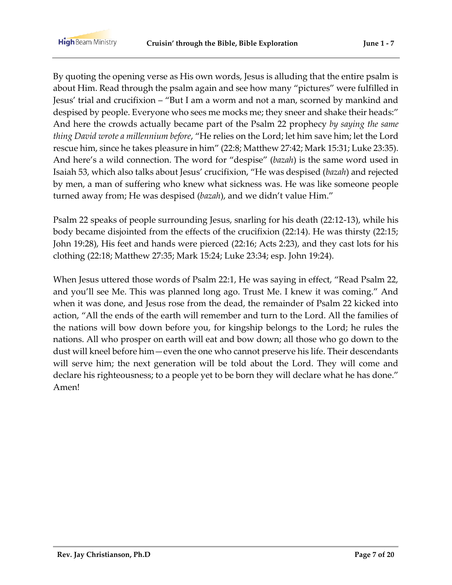By quoting the opening verse as His own words, Jesus is alluding that the entire psalm is about Him. Read through the psalm again and see how many "pictures" were fulfilled in Jesus' trial and crucifixion – "But I am a worm and not a man, scorned by mankind and despised by people. Everyone who sees me mocks me; they sneer and shake their heads:" And here the crowds actually became part of the Psalm 22 prophecy *by saying the same thing David wrote a millennium before*, "He relies on the Lord; let him save him; let the Lord rescue him, since he takes pleasure in him" (22:8; Matthew 27:42; Mark 15:31; Luke 23:35). And here's a wild connection. The word for "despise" (*bazah*) is the same word used in Isaiah 53, which also talks about Jesus' crucifixion, "He was despised (*bazah*) and rejected by men, a man of suffering who knew what sickness was. He was like someone people turned away from; He was despised (*bazah*), and we didn't value Him."

Psalm 22 speaks of people surrounding Jesus, snarling for his death (22:12-13), while his body became disjointed from the effects of the crucifixion (22:14). He was thirsty (22:15; John 19:28), His feet and hands were pierced (22:16; Acts 2:23), and they cast lots for his clothing (22:18; Matthew 27:35; Mark 15:24; Luke 23:34; esp. John 19:24).

When Jesus uttered those words of Psalm 22:1, He was saying in effect, "Read Psalm 22, and you'll see Me. This was planned long ago. Trust Me. I knew it was coming." And when it was done, and Jesus rose from the dead, the remainder of Psalm 22 kicked into action, "All the ends of the earth will remember and turn to the Lord. All the families of the nations will bow down before you, for kingship belongs to the Lord; he rules the nations. All who prosper on earth will eat and bow down; all those who go down to the dust will kneel before him—even the one who cannot preserve his life. Their descendants will serve him; the next generation will be told about the Lord. They will come and declare his righteousness; to a people yet to be born they will declare what he has done." Amen!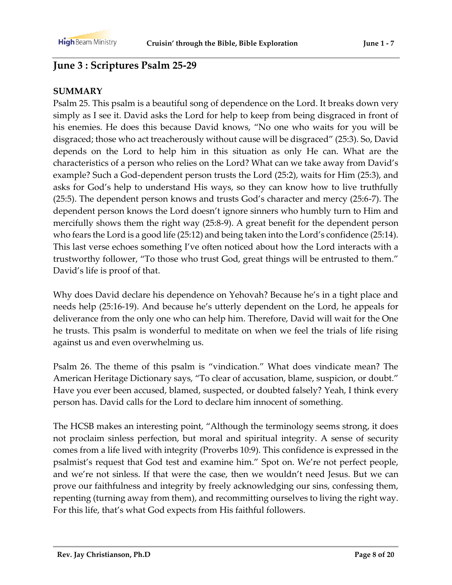# **June 3 : Scriptures Psalm 25-29**

### **SUMMARY**

Psalm 25. This psalm is a beautiful song of dependence on the Lord. It breaks down very simply as I see it. David asks the Lord for help to keep from being disgraced in front of his enemies. He does this because David knows, "No one who waits for you will be disgraced; those who act treacherously without cause will be disgraced" (25:3). So, David depends on the Lord to help him in this situation as only He can. What are the characteristics of a person who relies on the Lord? What can we take away from David's example? Such a God-dependent person trusts the Lord (25:2), waits for Him (25:3), and asks for God's help to understand His ways, so they can know how to live truthfully (25:5). The dependent person knows and trusts God's character and mercy (25:6-7). The dependent person knows the Lord doesn't ignore sinners who humbly turn to Him and mercifully shows them the right way (25:8-9). A great benefit for the dependent person who fears the Lord is a good life (25:12) and being taken into the Lord's confidence (25:14). This last verse echoes something I've often noticed about how the Lord interacts with a trustworthy follower, "To those who trust God, great things will be entrusted to them." David's life is proof of that.

Why does David declare his dependence on Yehovah? Because he's in a tight place and needs help (25:16-19). And because he's utterly dependent on the Lord, he appeals for deliverance from the only one who can help him. Therefore, David will wait for the One he trusts. This psalm is wonderful to meditate on when we feel the trials of life rising against us and even overwhelming us.

Psalm 26. The theme of this psalm is "vindication." What does vindicate mean? The American Heritage Dictionary says, "To clear of accusation, blame, suspicion, or doubt." Have you ever been accused, blamed, suspected, or doubted falsely? Yeah, I think every person has. David calls for the Lord to declare him innocent of something.

The HCSB makes an interesting point, "Although the terminology seems strong, it does not proclaim sinless perfection, but moral and spiritual integrity. A sense of security comes from a life lived with integrity (Proverbs 10:9). This confidence is expressed in the psalmist's request that God test and examine him." Spot on. We're not perfect people, and we're not sinless. If that were the case, then we wouldn't need Jesus. But we can prove our faithfulness and integrity by freely acknowledging our sins, confessing them, repenting (turning away from them), and recommitting ourselves to living the right way. For this life, that's what God expects from His faithful followers.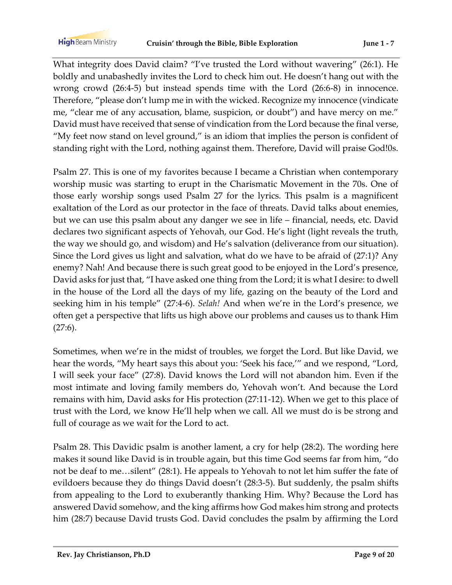What integrity does David claim? "I've trusted the Lord without wavering" (26:1). He boldly and unabashedly invites the Lord to check him out. He doesn't hang out with the wrong crowd (26:4-5) but instead spends time with the Lord (26:6-8) in innocence. Therefore, "please don't lump me in with the wicked. Recognize my innocence (vindicate me, "clear me of any accusation, blame, suspicion, or doubt") and have mercy on me." David must have received that sense of vindication from the Lord because the final verse, "My feet now stand on level ground," is an idiom that implies the person is confident of standing right with the Lord, nothing against them. Therefore, David will praise God!0s.

Psalm 27. This is one of my favorites because I became a Christian when contemporary worship music was starting to erupt in the Charismatic Movement in the 70s. One of those early worship songs used Psalm 27 for the lyrics. This psalm is a magnificent exaltation of the Lord as our protector in the face of threats. David talks about enemies, but we can use this psalm about any danger we see in life – financial, needs, etc. David declares two significant aspects of Yehovah, our God. He's light (light reveals the truth, the way we should go, and wisdom) and He's salvation (deliverance from our situation). Since the Lord gives us light and salvation, what do we have to be afraid of (27:1)? Any enemy? Nah! And because there is such great good to be enjoyed in the Lord's presence, David asks for just that, "I have asked one thing from the Lord; it is what I desire: to dwell in the house of the Lord all the days of my life, gazing on the beauty of the Lord and seeking him in his temple" (27:4-6). *Selah!* And when we're in the Lord's presence, we often get a perspective that lifts us high above our problems and causes us to thank Him  $(27:6)$ .

Sometimes, when we're in the midst of troubles, we forget the Lord. But like David, we hear the words, "My heart says this about you: 'Seek his face,'" and we respond, "Lord, I will seek your face" (27:8). David knows the Lord will not abandon him. Even if the most intimate and loving family members do, Yehovah won't. And because the Lord remains with him, David asks for His protection (27:11-12). When we get to this place of trust with the Lord, we know He'll help when we call. All we must do is be strong and full of courage as we wait for the Lord to act.

Psalm 28. This Davidic psalm is another lament, a cry for help (28:2). The wording here makes it sound like David is in trouble again, but this time God seems far from him, "do not be deaf to me…silent" (28:1). He appeals to Yehovah to not let him suffer the fate of evildoers because they do things David doesn't (28:3-5). But suddenly, the psalm shifts from appealing to the Lord to exuberantly thanking Him. Why? Because the Lord has answered David somehow, and the king affirms how God makes him strong and protects him (28:7) because David trusts God. David concludes the psalm by affirming the Lord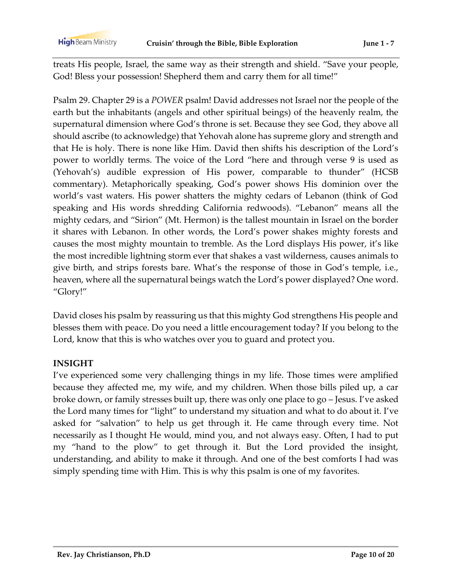treats His people, Israel, the same way as their strength and shield. "Save your people, God! Bless your possession! Shepherd them and carry them for all time!"

Psalm 29. Chapter 29 is a *POWER* psalm! David addresses not Israel nor the people of the earth but the inhabitants (angels and other spiritual beings) of the heavenly realm, the supernatural dimension where God's throne is set. Because they see God, they above all should ascribe (to acknowledge) that Yehovah alone has supreme glory and strength and that He is holy. There is none like Him. David then shifts his description of the Lord's power to worldly terms. The voice of the Lord "here and through verse 9 is used as (Yehovah's) audible expression of His power, comparable to thunder" (HCSB commentary). Metaphorically speaking, God's power shows His dominion over the world's vast waters. His power shatters the mighty cedars of Lebanon (think of God speaking and His words shredding California redwoods). "Lebanon" means all the mighty cedars, and "Sirion" (Mt. Hermon) is the tallest mountain in Israel on the border it shares with Lebanon. In other words, the Lord's power shakes mighty forests and causes the most mighty mountain to tremble. As the Lord displays His power, it's like the most incredible lightning storm ever that shakes a vast wilderness, causes animals to give birth, and strips forests bare. What's the response of those in God's temple, i.e., heaven, where all the supernatural beings watch the Lord's power displayed? One word. "Glory!"

David closes his psalm by reassuring us that this mighty God strengthens His people and blesses them with peace. Do you need a little encouragement today? If you belong to the Lord, know that this is who watches over you to guard and protect you.

#### **INSIGHT**

I've experienced some very challenging things in my life. Those times were amplified because they affected me, my wife, and my children. When those bills piled up, a car broke down, or family stresses built up, there was only one place to go – Jesus. I've asked the Lord many times for "light" to understand my situation and what to do about it. I've asked for "salvation" to help us get through it. He came through every time. Not necessarily as I thought He would, mind you, and not always easy. Often, I had to put my "hand to the plow" to get through it. But the Lord provided the insight, understanding, and ability to make it through. And one of the best comforts I had was simply spending time with Him. This is why this psalm is one of my favorites.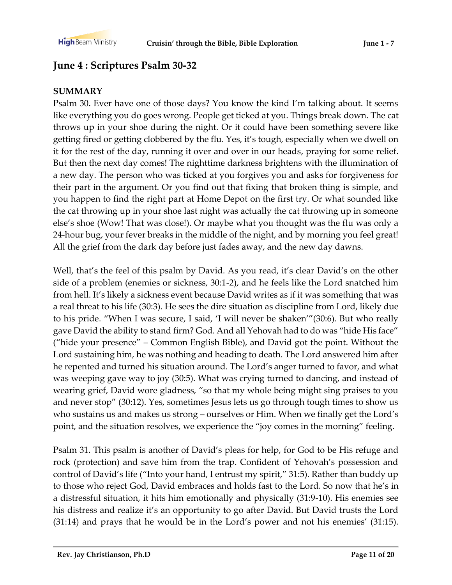# **June 4 : Scriptures Psalm 30-32**

#### **SUMMARY**

Psalm 30. Ever have one of those days? You know the kind I'm talking about. It seems like everything you do goes wrong. People get ticked at you. Things break down. The cat throws up in your shoe during the night. Or it could have been something severe like getting fired or getting clobbered by the flu. Yes, it's tough, especially when we dwell on it for the rest of the day, running it over and over in our heads, praying for some relief. But then the next day comes! The nighttime darkness brightens with the illumination of a new day. The person who was ticked at you forgives you and asks for forgiveness for their part in the argument. Or you find out that fixing that broken thing is simple, and you happen to find the right part at Home Depot on the first try. Or what sounded like the cat throwing up in your shoe last night was actually the cat throwing up in someone else's shoe (Wow! That was close!). Or maybe what you thought was the flu was only a 24-hour bug, your fever breaks in the middle of the night, and by morning you feel great! All the grief from the dark day before just fades away, and the new day dawns.

Well, that's the feel of this psalm by David. As you read, it's clear David's on the other side of a problem (enemies or sickness, 30:1-2), and he feels like the Lord snatched him from hell. It's likely a sickness event because David writes as if it was something that was a real threat to his life (30:3). He sees the dire situation as discipline from Lord, likely due to his pride. "When I was secure, I said, 'I will never be shaken'"(30:6). But who really gave David the ability to stand firm? God. And all Yehovah had to do was "hide His face" ("hide your presence" – Common English Bible), and David got the point. Without the Lord sustaining him, he was nothing and heading to death. The Lord answered him after he repented and turned his situation around. The Lord's anger turned to favor, and what was weeping gave way to joy (30:5). What was crying turned to dancing, and instead of wearing grief, David wore gladness, "so that my whole being might sing praises to you and never stop" (30:12). Yes, sometimes Jesus lets us go through tough times to show us who sustains us and makes us strong – ourselves or Him. When we finally get the Lord's point, and the situation resolves, we experience the "joy comes in the morning" feeling.

Psalm 31. This psalm is another of David's pleas for help, for God to be His refuge and rock (protection) and save him from the trap. Confident of Yehovah's possession and control of David's life ("Into your hand, I entrust my spirit," 31:5). Rather than buddy up to those who reject God, David embraces and holds fast to the Lord. So now that he's in a distressful situation, it hits him emotionally and physically (31:9-10). His enemies see his distress and realize it's an opportunity to go after David. But David trusts the Lord (31:14) and prays that he would be in the Lord's power and not his enemies' (31:15).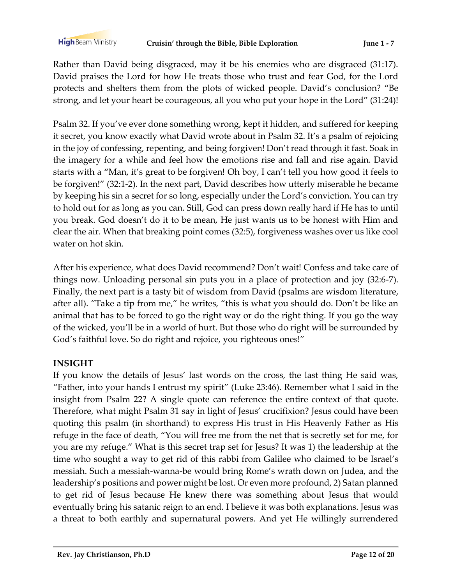Rather than David being disgraced, may it be his enemies who are disgraced (31:17). David praises the Lord for how He treats those who trust and fear God, for the Lord protects and shelters them from the plots of wicked people. David's conclusion? "Be strong, and let your heart be courageous, all you who put your hope in the Lord" (31:24)!

Psalm 32. If you've ever done something wrong, kept it hidden, and suffered for keeping it secret, you know exactly what David wrote about in Psalm 32. It's a psalm of rejoicing in the joy of confessing, repenting, and being forgiven! Don't read through it fast. Soak in the imagery for a while and feel how the emotions rise and fall and rise again. David starts with a "Man, it's great to be forgiven! Oh boy, I can't tell you how good it feels to be forgiven!" (32:1-2). In the next part, David describes how utterly miserable he became by keeping his sin a secret for so long, especially under the Lord's conviction. You can try to hold out for as long as you can. Still, God can press down really hard if He has to until you break. God doesn't do it to be mean, He just wants us to be honest with Him and clear the air. When that breaking point comes (32:5), forgiveness washes over us like cool water on hot skin.

After his experience, what does David recommend? Don't wait! Confess and take care of things now. Unloading personal sin puts you in a place of protection and joy (32:6-7). Finally, the next part is a tasty bit of wisdom from David (psalms are wisdom literature, after all). "Take a tip from me," he writes, "this is what you should do. Don't be like an animal that has to be forced to go the right way or do the right thing. If you go the way of the wicked, you'll be in a world of hurt. But those who do right will be surrounded by God's faithful love. So do right and rejoice, you righteous ones!"

#### **INSIGHT**

If you know the details of Jesus' last words on the cross, the last thing He said was, "Father, into your hands I entrust my spirit" (Luke 23:46). Remember what I said in the insight from Psalm 22? A single quote can reference the entire context of that quote. Therefore, what might Psalm 31 say in light of Jesus' crucifixion? Jesus could have been quoting this psalm (in shorthand) to express His trust in His Heavenly Father as His refuge in the face of death, "You will free me from the net that is secretly set for me, for you are my refuge." What is this secret trap set for Jesus? It was 1) the leadership at the time who sought a way to get rid of this rabbi from Galilee who claimed to be Israel's messiah. Such a messiah-wanna-be would bring Rome's wrath down on Judea, and the leadership's positions and power might be lost. Or even more profound, 2) Satan planned to get rid of Jesus because He knew there was something about Jesus that would eventually bring his satanic reign to an end. I believe it was both explanations. Jesus was a threat to both earthly and supernatural powers. And yet He willingly surrendered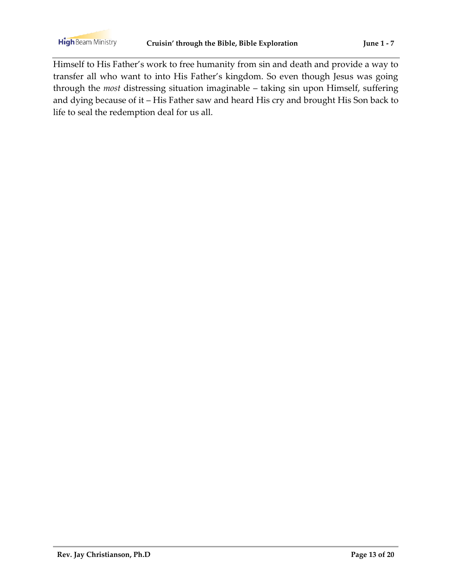Himself to His Father's work to free humanity from sin and death and provide a way to transfer all who want to into His Father's kingdom. So even though Jesus was going through the *most* distressing situation imaginable – taking sin upon Himself, suffering and dying because of it – His Father saw and heard His cry and brought His Son back to life to seal the redemption deal for us all.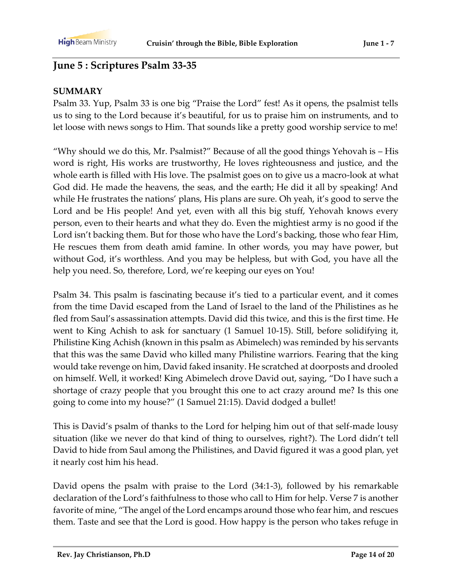# **June 5 : Scriptures Psalm 33-35**

### **SUMMARY**

Psalm 33. Yup, Psalm 33 is one big "Praise the Lord" fest! As it opens, the psalmist tells us to sing to the Lord because it's beautiful, for us to praise him on instruments, and to let loose with news songs to Him. That sounds like a pretty good worship service to me!

"Why should we do this, Mr. Psalmist?" Because of all the good things Yehovah is – His word is right, His works are trustworthy, He loves righteousness and justice, and the whole earth is filled with His love. The psalmist goes on to give us a macro-look at what God did. He made the heavens, the seas, and the earth; He did it all by speaking! And while He frustrates the nations' plans, His plans are sure. Oh yeah, it's good to serve the Lord and be His people! And yet, even with all this big stuff, Yehovah knows every person, even to their hearts and what they do. Even the mightiest army is no good if the Lord isn't backing them. But for those who have the Lord's backing, those who fear Him, He rescues them from death amid famine. In other words, you may have power, but without God, it's worthless. And you may be helpless, but with God, you have all the help you need. So, therefore, Lord, we're keeping our eyes on You!

Psalm 34. This psalm is fascinating because it's tied to a particular event, and it comes from the time David escaped from the Land of Israel to the land of the Philistines as he fled from Saul's assassination attempts. David did this twice, and this is the first time. He went to King Achish to ask for sanctuary (1 Samuel 10-15). Still, before solidifying it, Philistine King Achish (known in this psalm as Abimelech) was reminded by his servants that this was the same David who killed many Philistine warriors. Fearing that the king would take revenge on him, David faked insanity. He scratched at doorposts and drooled on himself. Well, it worked! King Abimelech drove David out, saying, "Do I have such a shortage of crazy people that you brought this one to act crazy around me? Is this one going to come into my house?" (1 Samuel 21:15). David dodged a bullet!

This is David's psalm of thanks to the Lord for helping him out of that self-made lousy situation (like we never do that kind of thing to ourselves, right?). The Lord didn't tell David to hide from Saul among the Philistines, and David figured it was a good plan, yet it nearly cost him his head.

David opens the psalm with praise to the Lord (34:1-3), followed by his remarkable declaration of the Lord's faithfulness to those who call to Him for help. Verse 7 is another favorite of mine, "The angel of the Lord encamps around those who fear him, and rescues them. Taste and see that the Lord is good. How happy is the person who takes refuge in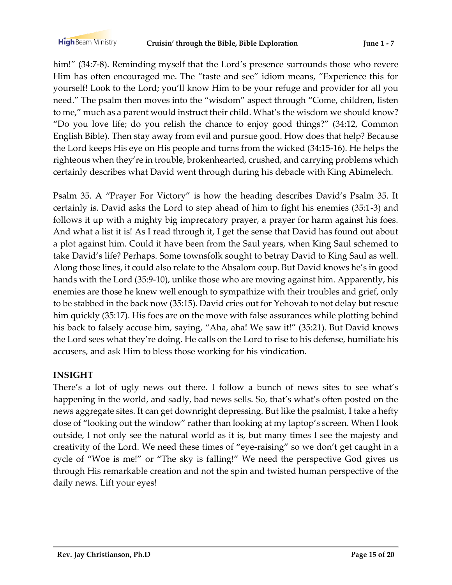him!" (34:7-8). Reminding myself that the Lord's presence surrounds those who revere Him has often encouraged me. The "taste and see" idiom means, "Experience this for yourself! Look to the Lord; you'll know Him to be your refuge and provider for all you need." The psalm then moves into the "wisdom" aspect through "Come, children, listen to me," much as a parent would instruct their child. What's the wisdom we should know? "Do you love life; do you relish the chance to enjoy good things?" (34:12, Common English Bible). Then stay away from evil and pursue good. How does that help? Because the Lord keeps His eye on His people and turns from the wicked (34:15-16). He helps the righteous when they're in trouble, brokenhearted, crushed, and carrying problems which certainly describes what David went through during his debacle with King Abimelech.

Psalm 35. A "Prayer For Victory" is how the heading describes David's Psalm 35. It certainly is. David asks the Lord to step ahead of him to fight his enemies (35:1-3) and follows it up with a mighty big imprecatory prayer, a prayer for harm against his foes. And what a list it is! As I read through it, I get the sense that David has found out about a plot against him. Could it have been from the Saul years, when King Saul schemed to take David's life? Perhaps. Some townsfolk sought to betray David to King Saul as well. Along those lines, it could also relate to the Absalom coup. But David knows he's in good hands with the Lord (35:9-10), unlike those who are moving against him. Apparently, his enemies are those he knew well enough to sympathize with their troubles and grief, only to be stabbed in the back now (35:15). David cries out for Yehovah to not delay but rescue him quickly (35:17). His foes are on the move with false assurances while plotting behind his back to falsely accuse him, saying, "Aha, aha! We saw it!" (35:21). But David knows the Lord sees what they're doing. He calls on the Lord to rise to his defense, humiliate his accusers, and ask Him to bless those working for his vindication.

#### **INSIGHT**

There's a lot of ugly news out there. I follow a bunch of news sites to see what's happening in the world, and sadly, bad news sells. So, that's what's often posted on the news aggregate sites. It can get downright depressing. But like the psalmist, I take a hefty dose of "looking out the window" rather than looking at my laptop's screen. When I look outside, I not only see the natural world as it is, but many times I see the majesty and creativity of the Lord. We need these times of "eye-raising" so we don't get caught in a cycle of "Woe is me!" or "The sky is falling!" We need the perspective God gives us through His remarkable creation and not the spin and twisted human perspective of the daily news. Lift your eyes!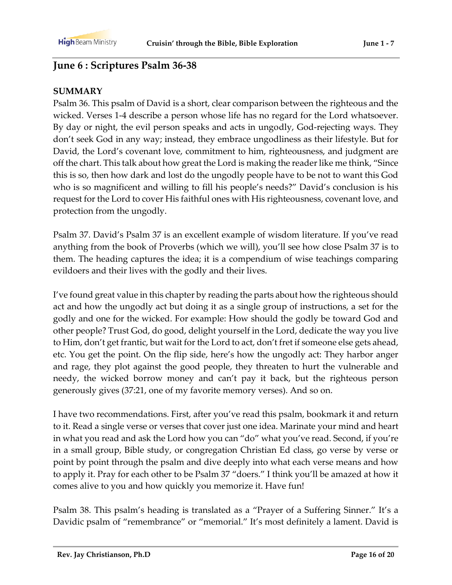# **June 6 : Scriptures Psalm 36-38**

### **SUMMARY**

Psalm 36. This psalm of David is a short, clear comparison between the righteous and the wicked. Verses 1-4 describe a person whose life has no regard for the Lord whatsoever. By day or night, the evil person speaks and acts in ungodly, God-rejecting ways. They don't seek God in any way; instead, they embrace ungodliness as their lifestyle. But for David, the Lord's covenant love, commitment to him, righteousness, and judgment are off the chart. This talk about how great the Lord is making the reader like me think, "Since this is so, then how dark and lost do the ungodly people have to be not to want this God who is so magnificent and willing to fill his people's needs?" David's conclusion is his request for the Lord to cover His faithful ones with His righteousness, covenant love, and protection from the ungodly.

Psalm 37. David's Psalm 37 is an excellent example of wisdom literature. If you've read anything from the book of Proverbs (which we will), you'll see how close Psalm 37 is to them. The heading captures the idea; it is a compendium of wise teachings comparing evildoers and their lives with the godly and their lives.

I've found great value in this chapter by reading the parts about how the righteous should act and how the ungodly act but doing it as a single group of instructions, a set for the godly and one for the wicked. For example: How should the godly be toward God and other people? Trust God, do good, delight yourself in the Lord, dedicate the way you live to Him, don't get frantic, but wait for the Lord to act, don't fret if someone else gets ahead, etc. You get the point. On the flip side, here's how the ungodly act: They harbor anger and rage, they plot against the good people, they threaten to hurt the vulnerable and needy, the wicked borrow money and can't pay it back, but the righteous person generously gives (37:21, one of my favorite memory verses). And so on.

I have two recommendations. First, after you've read this psalm, bookmark it and return to it. Read a single verse or verses that cover just one idea. Marinate your mind and heart in what you read and ask the Lord how you can "do" what you've read. Second, if you're in a small group, Bible study, or congregation Christian Ed class, go verse by verse or point by point through the psalm and dive deeply into what each verse means and how to apply it. Pray for each other to be Psalm 37 "doers." I think you'll be amazed at how it comes alive to you and how quickly you memorize it. Have fun!

Psalm 38. This psalm's heading is translated as a "Prayer of a Suffering Sinner." It's a Davidic psalm of "remembrance" or "memorial." It's most definitely a lament. David is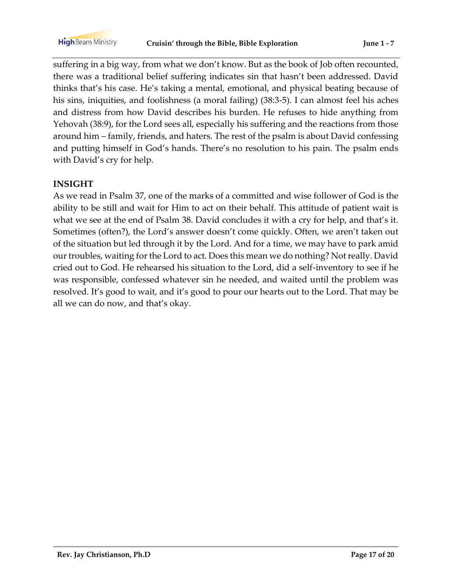suffering in a big way, from what we don't know. But as the book of Job often recounted, there was a traditional belief suffering indicates sin that hasn't been addressed. David thinks that's his case. He's taking a mental, emotional, and physical beating because of his sins, iniquities, and foolishness (a moral failing) (38:3-5). I can almost feel his aches and distress from how David describes his burden. He refuses to hide anything from Yehovah (38:9), for the Lord sees all, especially his suffering and the reactions from those around him – family, friends, and haters. The rest of the psalm is about David confessing and putting himself in God's hands. There's no resolution to his pain. The psalm ends with David's cry for help.

#### **INSIGHT**

As we read in Psalm 37, one of the marks of a committed and wise follower of God is the ability to be still and wait for Him to act on their behalf. This attitude of patient wait is what we see at the end of Psalm 38. David concludes it with a cry for help, and that's it. Sometimes (often?), the Lord's answer doesn't come quickly. Often, we aren't taken out of the situation but led through it by the Lord. And for a time, we may have to park amid our troubles, waiting for the Lord to act. Does this mean we do nothing? Not really. David cried out to God. He rehearsed his situation to the Lord, did a self-inventory to see if he was responsible, confessed whatever sin he needed, and waited until the problem was resolved. It's good to wait, and it's good to pour our hearts out to the Lord. That may be all we can do now, and that's okay.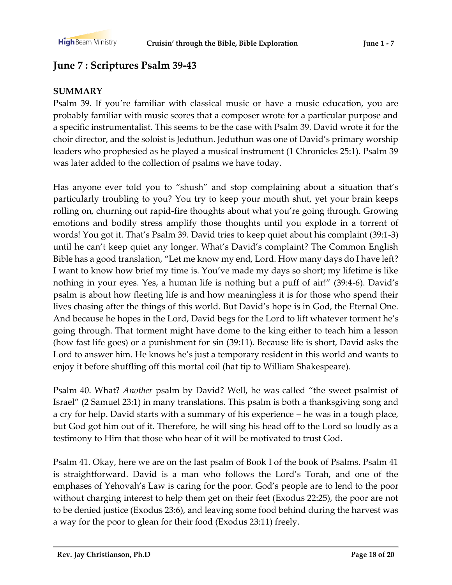### **June 7 : Scriptures Psalm 39-43**

#### **SUMMARY**

Psalm 39. If you're familiar with classical music or have a music education, you are probably familiar with music scores that a composer wrote for a particular purpose and a specific instrumentalist. This seems to be the case with Psalm 39. David wrote it for the choir director, and the soloist is Jeduthun. Jeduthun was one of David's primary worship leaders who prophesied as he played a musical instrument (1 Chronicles 25:1). Psalm 39 was later added to the collection of psalms we have today.

Has anyone ever told you to "shush" and stop complaining about a situation that's particularly troubling to you? You try to keep your mouth shut, yet your brain keeps rolling on, churning out rapid-fire thoughts about what you're going through. Growing emotions and bodily stress amplify those thoughts until you explode in a torrent of words! You got it. That's Psalm 39. David tries to keep quiet about his complaint (39:1-3) until he can't keep quiet any longer. What's David's complaint? The Common English Bible has a good translation, "Let me know my end, Lord. How many days do I have left? I want to know how brief my time is. You've made my days so short; my lifetime is like nothing in your eyes. Yes, a human life is nothing but a puff of air!" (39:4-6). David's psalm is about how fleeting life is and how meaningless it is for those who spend their lives chasing after the things of this world. But David's hope is in God, the Eternal One. And because he hopes in the Lord, David begs for the Lord to lift whatever torment he's going through. That torment might have dome to the king either to teach him a lesson (how fast life goes) or a punishment for sin (39:11). Because life is short, David asks the Lord to answer him. He knows he's just a temporary resident in this world and wants to enjoy it before shuffling off this mortal coil (hat tip to William Shakespeare).

Psalm 40. What? *Another* psalm by David? Well, he was called "the sweet psalmist of Israel" (2 Samuel 23:1) in many translations. This psalm is both a thanksgiving song and a cry for help. David starts with a summary of his experience – he was in a tough place, but God got him out of it. Therefore, he will sing his head off to the Lord so loudly as a testimony to Him that those who hear of it will be motivated to trust God.

Psalm 41. Okay, here we are on the last psalm of Book I of the book of Psalms. Psalm 41 is straightforward. David is a man who follows the Lord's Torah, and one of the emphases of Yehovah's Law is caring for the poor. God's people are to lend to the poor without charging interest to help them get on their feet (Exodus 22:25), the poor are not to be denied justice (Exodus 23:6), and leaving some food behind during the harvest was a way for the poor to glean for their food (Exodus 23:11) freely.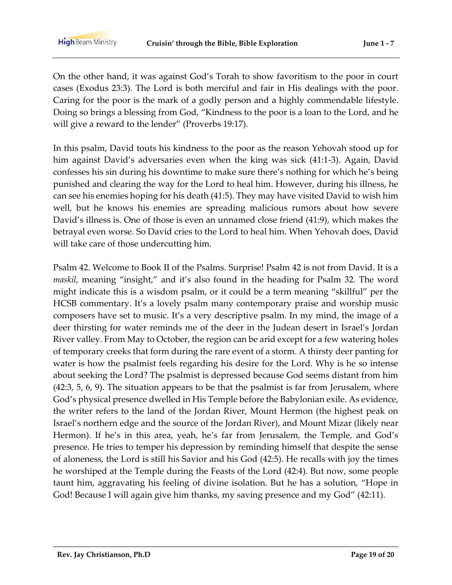On the other hand, it was against God's Torah to show favoritism to the poor in court cases (Exodus 23:3). The Lord is both merciful and fair in His dealings with the poor. Caring for the poor is the mark of a godly person and a highly commendable lifestyle. Doing so brings a blessing from God, "Kindness to the poor is a loan to the Lord, and he will give a reward to the lender" (Proverbs 19:17).

In this psalm, David touts his kindness to the poor as the reason Yehovah stood up for him against David's adversaries even when the king was sick (41:1-3). Again, David confesses his sin during his downtime to make sure there's nothing for which he's being punished and clearing the way for the Lord to heal him. However, during his illness, he can see his enemies hoping for his death (41:5). They may have visited David to wish him well, but he knows his enemies are spreading malicious rumors about how severe David's illness is. One of those is even an unnamed close friend (41:9), which makes the betrayal even worse. So David cries to the Lord to heal him. When Yehovah does, David will take care of those undercutting him.

Psalm 42. Welcome to Book II of the Psalms. Surprise! Psalm 42 is not from David. It is a *maskil*, meaning "insight," and it's also found in the heading for Psalm 32. The word might indicate this is a wisdom psalm, or it could be a term meaning "skillful" per the HCSB commentary. It's a lovely psalm many contemporary praise and worship music composers have set to music. It's a very descriptive psalm. In my mind, the image of a deer thirsting for water reminds me of the deer in the Judean desert in Israel's Jordan River valley. From May to October, the region can be arid except for a few watering holes of temporary creeks that form during the rare event of a storm. A thirsty deer panting for water is how the psalmist feels regarding his desire for the Lord. Why is he so intense about seeking the Lord? The psalmist is depressed because God seems distant from him (42:3, 5, 6, 9). The situation appears to be that the psalmist is far from Jerusalem, where God's physical presence dwelled in His Temple before the Babylonian exile. As evidence, the writer refers to the land of the Jordan River, Mount Hermon (the highest peak on Israel's northern edge and the source of the Jordan River), and Mount Mizar (likely near Hermon). If he's in this area, yeah, he's far from Jerusalem, the Temple, and God's presence. He tries to temper his depression by reminding himself that despite the sense of aloneness, the Lord is still his Savior and his God (42:5). He recalls with joy the times he worshiped at the Temple during the Feasts of the Lord (42:4). But now, some people taunt him, aggravating his feeling of divine isolation. But he has a solution, "Hope in God! Because I will again give him thanks, my saving presence and my God" (42:11).